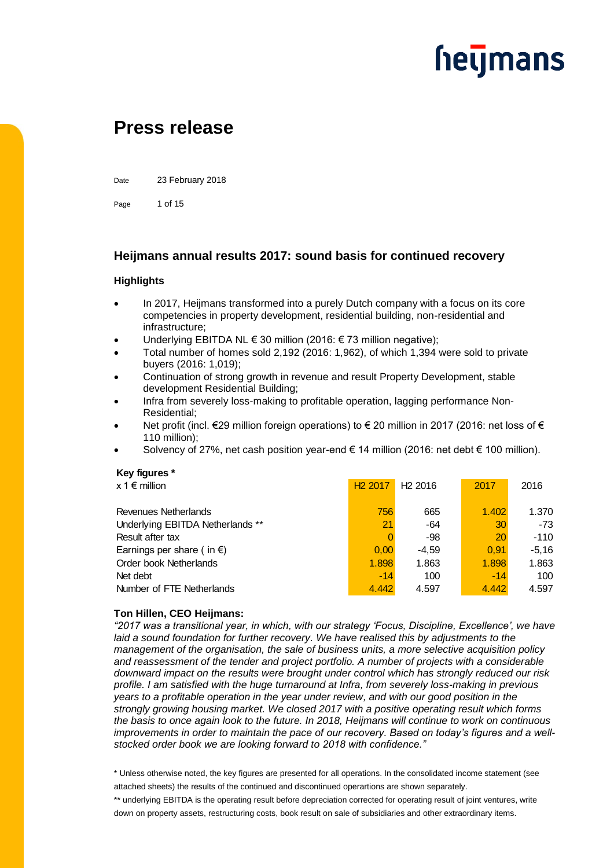

### **Press release**

Date 23 February 2018

Page 1 of 15

#### **Heijmans annual results 2017: sound basis for continued recovery**

#### **Highlights**

- In 2017, Heijmans transformed into a purely Dutch company with a focus on its core competencies in property development, residential building, non-residential and infrastructure;
- Underlying EBITDA NL € 30 million (2016: € 73 million negative);
- Total number of homes sold 2,192 (2016: 1,962), of which 1,394 were sold to private buyers (2016: 1,019);
- Continuation of strong growth in revenue and result Property Development, stable development Residential Building;
- Infra from severely loss-making to profitable operation, lagging performance Non-Residential;
- Net profit (incl. €29 million foreign operations) to € 20 million in 2017 (2016: net loss of € 110 million);
- Solvency of 27%, net cash position year-end € 14 million (2016: net debt  $€$  100 million).

#### **Key figures \***

| $x \uparrow \in \mathsf{million}$   | H <sub>2</sub> 2017 | H <sub>2</sub> 2016 | 2017  | 2016    |
|-------------------------------------|---------------------|---------------------|-------|---------|
| Revenues Netherlands                | 756                 | 665                 | 1.402 | 1.370   |
| Underlying EBITDA Netherlands **    | 21                  | -64                 | 30    | $-73$   |
| Result after tax                    |                     | -98                 | 20    | $-110$  |
| Earnings per share (in $\epsilon$ ) | 0,00                | $-4.59$             | 0.91  | $-5.16$ |
| Order book Netherlands              | 1.898               | 1.863               | 1.898 | 1.863   |
| Net debt                            | $-14$               | 100                 | $-14$ | 100     |
| Number of FTE Netherlands           | 4.442               | 4.597               | 4.442 | 4.597   |

#### **Ton Hillen, CEO Heijmans:**

*"2017 was a transitional year, in which, with our strategy 'Focus, Discipline, Excellence', we have laid a sound foundation for further recovery. We have realised this by adjustments to the management of the organisation, the sale of business units, a more selective acquisition policy and reassessment of the tender and project portfolio. A number of projects with a considerable downward impact on the results were brought under control which has strongly reduced our risk profile. I am satisfied with the huge turnaround at Infra, from severely loss-making in previous years to a profitable operation in the year under review, and with our good position in the strongly growing housing market. We closed 2017 with a positive operating result which forms the basis to once again look to the future. In 2018, Heijmans will continue to work on continuous improvements in order to maintain the pace of our recovery. Based on today's figures and a wellstocked order book we are looking forward to 2018 with confidence."*

\* Unless otherwise noted, the key figures are presented for all operations. In the consolidated income statement (see attached sheets) the results of the continued and discontinued operartions are shown separately.

\*\* underlying EBITDA is the operating result before depreciation corrected for operating result of joint ventures, write down on property assets, restructuring costs, book result on sale of subsidiaries and other extraordinary items.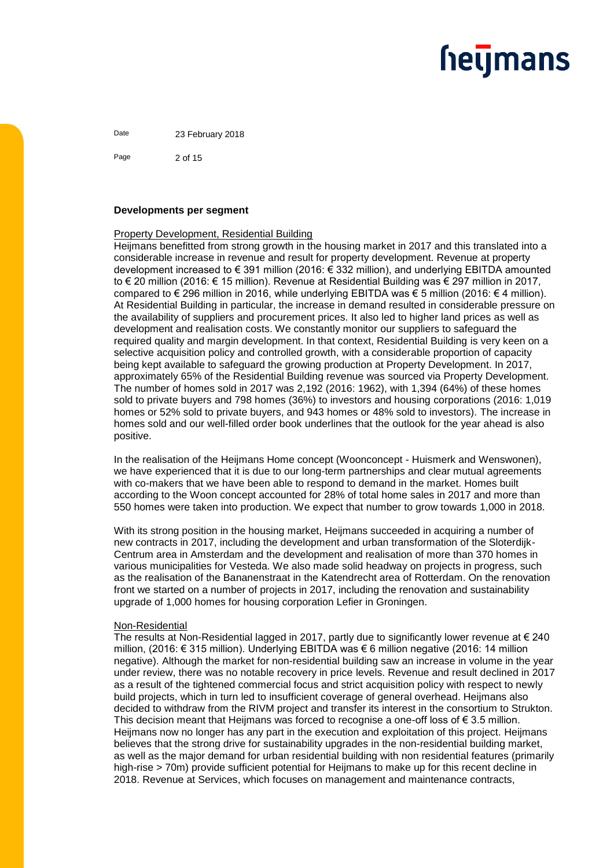Date 23 February 2018

Page 2 of 15

#### **Developments per segment**

#### Property Development, Residential Building

Heijmans benefitted from strong growth in the housing market in 2017 and this translated into a considerable increase in revenue and result for property development. Revenue at property development increased to € 391 million (2016: € 332 million), and underlying EBITDA amounted to € 20 million (2016: € 15 million). Revenue at Residential Building was € 297 million in 2017, compared to € 296 million in 2016, while underlying EBITDA was  $\epsilon$  5 million (2016:  $\epsilon$  4 million). At Residential Building in particular, the increase in demand resulted in considerable pressure on the availability of suppliers and procurement prices. It also led to higher land prices as well as development and realisation costs. We constantly monitor our suppliers to safeguard the required quality and margin development. In that context, Residential Building is very keen on a selective acquisition policy and controlled growth, with a considerable proportion of capacity being kept available to safeguard the growing production at Property Development. In 2017, approximately 65% of the Residential Building revenue was sourced via Property Development. The number of homes sold in 2017 was 2,192 (2016: 1962), with 1,394 (64%) of these homes sold to private buyers and 798 homes (36%) to investors and housing corporations (2016: 1,019 homes or 52% sold to private buyers, and 943 homes or 48% sold to investors). The increase in homes sold and our well-filled order book underlines that the outlook for the year ahead is also positive.

In the realisation of the Heijmans Home concept (Woonconcept - Huismerk and Wenswonen), we have experienced that it is due to our long-term partnerships and clear mutual agreements with co-makers that we have been able to respond to demand in the market. Homes built according to the Woon concept accounted for 28% of total home sales in 2017 and more than 550 homes were taken into production. We expect that number to grow towards 1,000 in 2018.

With its strong position in the housing market, Heijmans succeeded in acquiring a number of new contracts in 2017, including the development and urban transformation of the Sloterdijk-Centrum area in Amsterdam and the development and realisation of more than 370 homes in various municipalities for Vesteda. We also made solid headway on projects in progress, such as the realisation of the Bananenstraat in the Katendrecht area of Rotterdam. On the renovation front we started on a number of projects in 2017, including the renovation and sustainability upgrade of 1,000 homes for housing corporation Lefier in Groningen.

#### Non-Residential

The results at Non-Residential lagged in 2017, partly due to significantly lower revenue at  $\epsilon$  240 million, (2016: € 315 million). Underlying EBITDA was € 6 million negative (2016: 14 million negative). Although the market for non-residential building saw an increase in volume in the year under review, there was no notable recovery in price levels. Revenue and result declined in 2017 as a result of the tightened commercial focus and strict acquisition policy with respect to newly build projects, which in turn led to insufficient coverage of general overhead. Heijmans also decided to withdraw from the RIVM project and transfer its interest in the consortium to Strukton. This decision meant that Heijmans was forced to recognise a one-off loss of  $\epsilon$  3.5 million. Heijmans now no longer has any part in the execution and exploitation of this project. Heijmans believes that the strong drive for sustainability upgrades in the non-residential building market, as well as the major demand for urban residential building with non residential features (primarily high-rise > 70m) provide sufficient potential for Heijmans to make up for this recent decline in 2018. Revenue at Services, which focuses on management and maintenance contracts,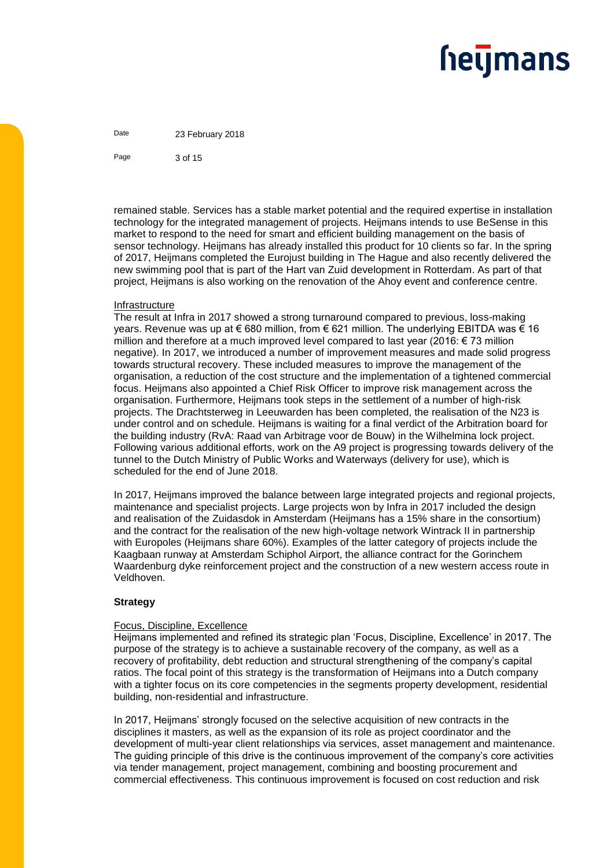Date 23 February 2018

Page 3 of 15

remained stable. Services has a stable market potential and the required expertise in installation technology for the integrated management of projects. Heijmans intends to use BeSense in this market to respond to the need for smart and efficient building management on the basis of sensor technology. Heijmans has already installed this product for 10 clients so far. In the spring of 2017, Heijmans completed the Eurojust building in The Hague and also recently delivered the new swimming pool that is part of the Hart van Zuid development in Rotterdam. As part of that project, Heijmans is also working on the renovation of the Ahoy event and conference centre.

#### Infrastructure

The result at Infra in 2017 showed a strong turnaround compared to previous, loss-making years. Revenue was up at € 680 million, from € 621 million. The underlying EBITDA was € 16 million and therefore at a much improved level compared to last year (2016:  $\epsilon$  73 million negative). In 2017, we introduced a number of improvement measures and made solid progress towards structural recovery. These included measures to improve the management of the organisation, a reduction of the cost structure and the implementation of a tightened commercial focus. Heijmans also appointed a Chief Risk Officer to improve risk management across the organisation. Furthermore, Heijmans took steps in the settlement of a number of high-risk projects. The Drachtsterweg in Leeuwarden has been completed, the realisation of the N23 is under control and on schedule. Heijmans is waiting for a final verdict of the Arbitration board for the building industry (RvA: Raad van Arbitrage voor de Bouw) in the Wilhelmina lock project. Following various additional efforts, work on the A9 project is progressing towards delivery of the tunnel to the Dutch Ministry of Public Works and Waterways (delivery for use), which is scheduled for the end of June 2018.

In 2017, Heijmans improved the balance between large integrated projects and regional projects, maintenance and specialist projects. Large projects won by Infra in 2017 included the design and realisation of the Zuidasdok in Amsterdam (Heijmans has a 15% share in the consortium) and the contract for the realisation of the new high-voltage network Wintrack II in partnership with Europoles (Heijmans share 60%). Examples of the latter category of projects include the Kaagbaan runway at Amsterdam Schiphol Airport, the alliance contract for the Gorinchem Waardenburg dyke reinforcement project and the construction of a new western access route in Veldhoven.

#### **Strategy**

#### Focus, Discipline, Excellence

Heijmans implemented and refined its strategic plan 'Focus, Discipline, Excellence' in 2017. The purpose of the strategy is to achieve a sustainable recovery of the company, as well as a recovery of profitability, debt reduction and structural strengthening of the company's capital ratios. The focal point of this strategy is the transformation of Heijmans into a Dutch company with a tighter focus on its core competencies in the segments property development, residential building, non-residential and infrastructure.

In 2017, Heijmans' strongly focused on the selective acquisition of new contracts in the disciplines it masters, as well as the expansion of its role as project coordinator and the development of multi-year client relationships via services, asset management and maintenance. The guiding principle of this drive is the continuous improvement of the company's core activities via tender management, project management, combining and boosting procurement and commercial effectiveness. This continuous improvement is focused on cost reduction and risk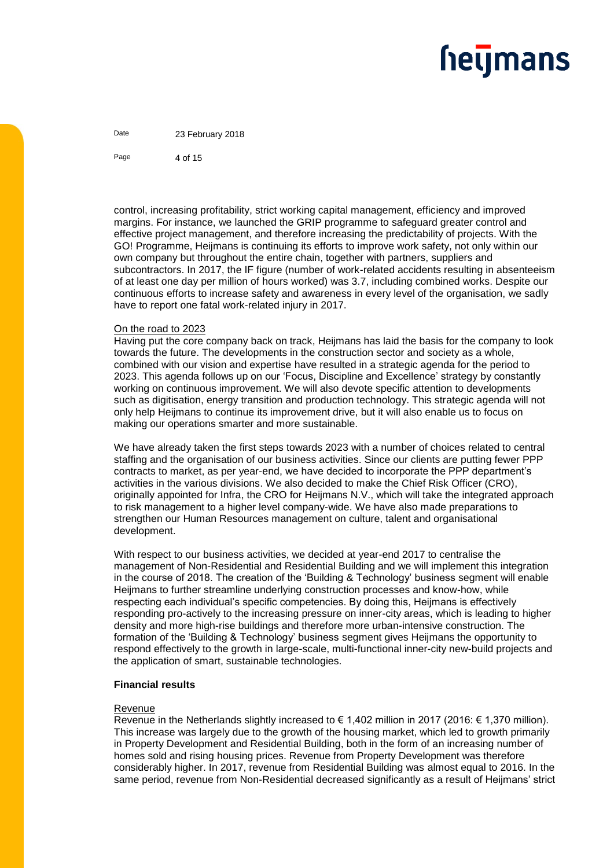Date 23 February 2018

Page 4 of 15

control, increasing profitability, strict working capital management, efficiency and improved margins. For instance, we launched the GRIP programme to safeguard greater control and effective project management, and therefore increasing the predictability of projects. With the GO! Programme, Heijmans is continuing its efforts to improve work safety, not only within our own company but throughout the entire chain, together with partners, suppliers and subcontractors. In 2017, the IF figure (number of work-related accidents resulting in absenteeism of at least one day per million of hours worked) was 3.7, including combined works. Despite our continuous efforts to increase safety and awareness in every level of the organisation, we sadly have to report one fatal work-related injury in 2017.

#### On the road to 2023

Having put the core company back on track, Heijmans has laid the basis for the company to look towards the future. The developments in the construction sector and society as a whole, combined with our vision and expertise have resulted in a strategic agenda for the period to 2023. This agenda follows up on our 'Focus, Discipline and Excellence' strategy by constantly working on continuous improvement. We will also devote specific attention to developments such as digitisation, energy transition and production technology. This strategic agenda will not only help Heijmans to continue its improvement drive, but it will also enable us to focus on making our operations smarter and more sustainable.

We have already taken the first steps towards 2023 with a number of choices related to central staffing and the organisation of our business activities. Since our clients are putting fewer PPP contracts to market, as per year-end, we have decided to incorporate the PPP department's activities in the various divisions. We also decided to make the Chief Risk Officer (CRO), originally appointed for Infra, the CRO for Heijmans N.V., which will take the integrated approach to risk management to a higher level company-wide. We have also made preparations to strengthen our Human Resources management on culture, talent and organisational development.

With respect to our business activities, we decided at year-end 2017 to centralise the management of Non-Residential and Residential Building and we will implement this integration in the course of 2018. The creation of the 'Building & Technology' business segment will enable Heijmans to further streamline underlying construction processes and know-how, while respecting each individual's specific competencies. By doing this, Heijmans is effectively responding pro-actively to the increasing pressure on inner-city areas, which is leading to higher density and more high-rise buildings and therefore more urban-intensive construction. The formation of the 'Building & Technology' business segment gives Heijmans the opportunity to respond effectively to the growth in large-scale, multi-functional inner-city new-build projects and the application of smart, sustainable technologies.

#### **Financial results**

#### Revenue

Revenue in the Netherlands slightly increased to € 1,402 million in 2017 (2016: € 1,370 million). This increase was largely due to the growth of the housing market, which led to growth primarily in Property Development and Residential Building, both in the form of an increasing number of homes sold and rising housing prices. Revenue from Property Development was therefore considerably higher. In 2017, revenue from Residential Building was almost equal to 2016. In the same period, revenue from Non-Residential decreased significantly as a result of Heijmans' strict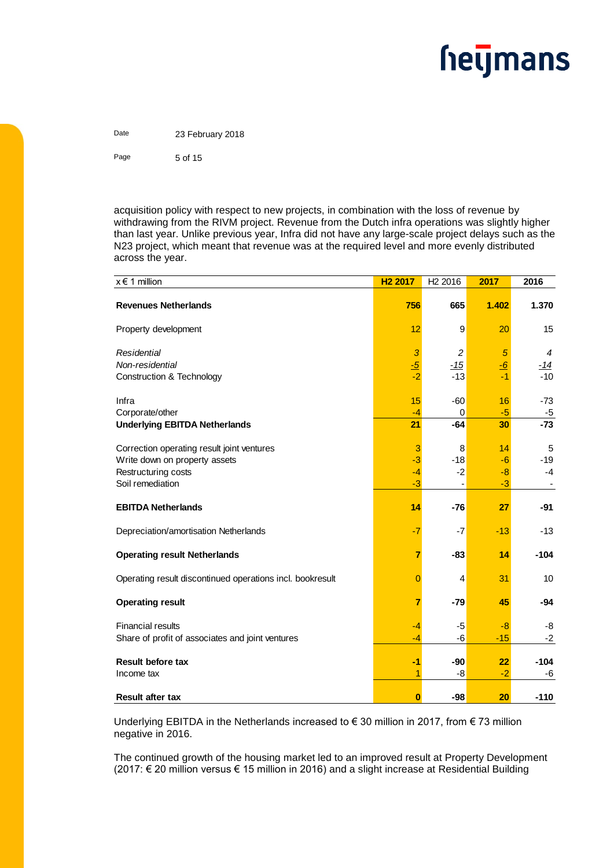### **hetjmans**

Date 23 February 2018 Page 5 of 15

acquisition policy with respect to new projects, in combination with the loss of revenue by withdrawing from the RIVM project. Revenue from the Dutch infra operations was slightly higher than last year. Unlike previous year, Infra did not have any large-scale project delays such as the N23 project, which meant that revenue was at the required level and more evenly distributed across the year.

| $x \in 1$ million                                         | H <sub>2</sub> 2017 | H <sub>2</sub> 2016 | 2017      | 2016       |
|-----------------------------------------------------------|---------------------|---------------------|-----------|------------|
| <b>Revenues Netherlands</b>                               | 756                 | 665                 | 1.402     | 1.370      |
| Property development                                      | 12                  | 9                   | 20        | 15         |
| Residential                                               | $\mathbf{3}$        | $\overline{c}$      | 5         | 4          |
| Non-residential                                           | $\frac{-5}{2}$      | $-15$               | <u>-6</u> | <u>-14</u> |
| Construction & Technology                                 | $-2$                | $-13$               | $-1$      | $-10$      |
| Infra                                                     | 15                  | $-60$               | 16        | $-73$      |
| Corporate/other                                           | $-4$                | 0                   | $-5$      | $-5$       |
| <b>Underlying EBITDA Netherlands</b>                      | 21                  | $-64$               | 30        | $-73$      |
| Correction operating result joint ventures                | 3                   | 8                   | 14        | 5          |
| Write down on property assets                             | $-3$                | $-18$               | $-6$      | $-19$      |
| Restructuring costs                                       | $-4$                | $-2$                | $-8$      | $-4$       |
| Soil remediation                                          | $-3$                |                     | $-3$      |            |
| <b>EBITDA Netherlands</b>                                 | 14                  | $-76$               | 27        | $-91$      |
| Depreciation/amortisation Netherlands                     | $-7$                | $-7$                | $-13$     | $-13$      |
| <b>Operating result Netherlands</b>                       | $\overline{7}$      | $-83$               | 14        | $-104$     |
| Operating result discontinued operations incl. bookresult | $\overline{0}$      | 4                   | 31        | 10         |
| <b>Operating result</b>                                   | $\overline{7}$      | $-79$               | 45        | -94        |
| <b>Financial results</b>                                  | $-4$                | $-5$                | $-8$      | -8         |
| Share of profit of associates and joint ventures          | $-4$                | -6                  | $-15$     | $-2$       |
| <b>Result before tax</b>                                  | $-1$                | $-90$               | 22        | $-104$     |
| Income tax                                                | 1                   | -8                  | $-2$      | -6         |
| <b>Result after tax</b>                                   | $\bf{0}$            | -98                 | 20        | $-110$     |

Underlying EBITDA in the Netherlands increased to € 30 million in 2017, from € 73 million negative in 2016.

The continued growth of the housing market led to an improved result at Property Development (2017: € 20 million versus € 15 million in 2016) and a slight increase at Residential Building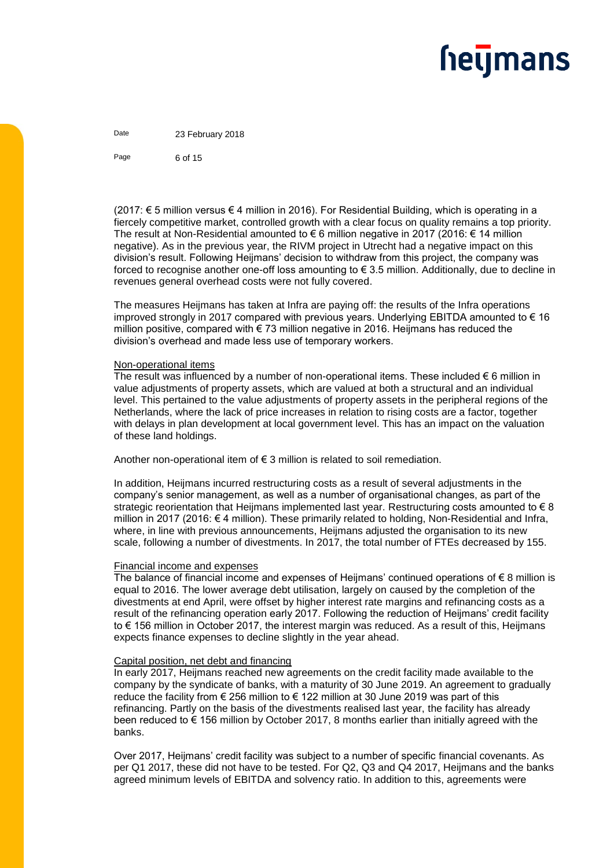Date 23 February 2018

Page 6 of 15

(2017: € 5 million versus € 4 million in 2016). For Residential Building, which is operating in a fiercely competitive market, controlled growth with a clear focus on quality remains a top priority. The result at Non-Residential amounted to € 6 million negative in 2017 (2016: € 14 million negative). As in the previous year, the RIVM project in Utrecht had a negative impact on this division's result. Following Heijmans' decision to withdraw from this project, the company was forced to recognise another one-off loss amounting to  $\epsilon$  3.5 million. Additionally, due to decline in revenues general overhead costs were not fully covered.

The measures Heijmans has taken at Infra are paying off: the results of the Infra operations improved strongly in 2017 compared with previous years. Underlying EBITDA amounted to  $\epsilon$  16 million positive, compared with € 73 million negative in 2016. Heijmans has reduced the division's overhead and made less use of temporary workers.

#### Non-operational items

The result was influenced by a number of non-operational items. These included  $\epsilon$  6 million in value adjustments of property assets, which are valued at both a structural and an individual level. This pertained to the value adjustments of property assets in the peripheral regions of the Netherlands, where the lack of price increases in relation to rising costs are a factor, together with delays in plan development at local government level. This has an impact on the valuation of these land holdings.

Another non-operational item of  $\epsilon$  3 million is related to soil remediation.

In addition, Heijmans incurred restructuring costs as a result of several adjustments in the company's senior management, as well as a number of organisational changes, as part of the strategic reorientation that Heijmans implemented last year. Restructuring costs amounted to  $\epsilon$  8 million in 2017 (2016: € 4 million). These primarily related to holding, Non-Residential and Infra, where, in line with previous announcements, Heijmans adjusted the organisation to its new scale, following a number of divestments. In 2017, the total number of FTEs decreased by 155.

#### Financial income and expenses

The balance of financial income and expenses of Heijmans' continued operations of  $\epsilon$  8 million is equal to 2016. The lower average debt utilisation, largely on caused by the completion of the divestments at end April, were offset by higher interest rate margins and refinancing costs as a result of the refinancing operation early 2017. Following the reduction of Heijmans' credit facility to € 156 million in October 2017, the interest margin was reduced. As a result of this, Heijmans expects finance expenses to decline slightly in the year ahead.

#### Capital position, net debt and financing

In early 2017, Heijmans reached new agreements on the credit facility made available to the company by the syndicate of banks, with a maturity of 30 June 2019. An agreement to gradually reduce the facility from € 256 million to € 122 million at 30 June 2019 was part of this refinancing. Partly on the basis of the divestments realised last year, the facility has already been reduced to  $\epsilon$  156 million by October 2017, 8 months earlier than initially agreed with the banks.

Over 2017, Heijmans' credit facility was subject to a number of specific financial covenants. As per Q1 2017, these did not have to be tested. For Q2, Q3 and Q4 2017, Heijmans and the banks agreed minimum levels of EBITDA and solvency ratio. In addition to this, agreements were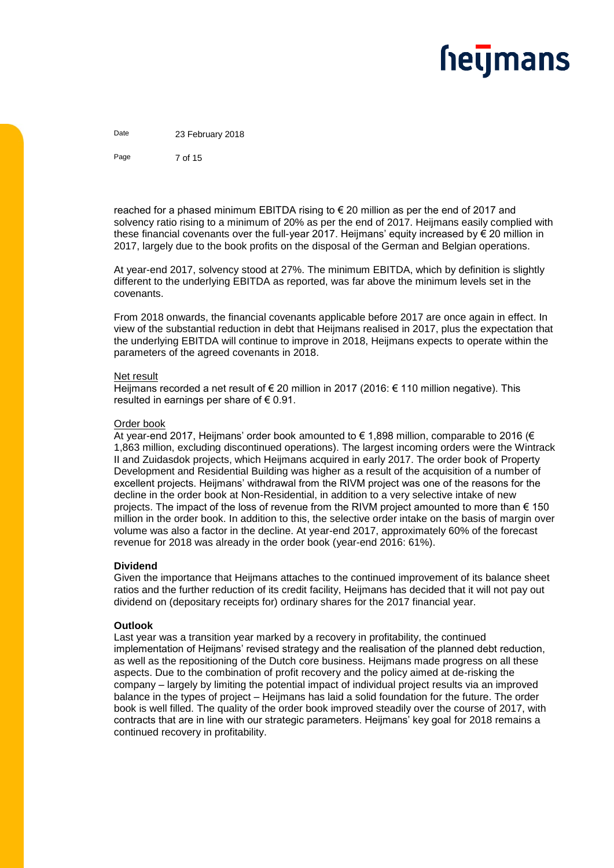Date 23 February 2018

Page 7 of 15

reached for a phased minimum EBITDA rising to  $\epsilon$  20 million as per the end of 2017 and solvency ratio rising to a minimum of 20% as per the end of 2017. Heijmans easily complied with these financial covenants over the full-year 2017. Heijmans' equity increased by  $\epsilon$  20 million in 2017, largely due to the book profits on the disposal of the German and Belgian operations.

At year-end 2017, solvency stood at 27%. The minimum EBITDA, which by definition is slightly different to the underlying EBITDA as reported, was far above the minimum levels set in the covenants.

From 2018 onwards, the financial covenants applicable before 2017 are once again in effect. In view of the substantial reduction in debt that Heijmans realised in 2017, plus the expectation that the underlying EBITDA will continue to improve in 2018, Heijmans expects to operate within the parameters of the agreed covenants in 2018.

#### Net result

Heijmans recorded a net result of € 20 million in 2017 (2016: € 110 million negative). This resulted in earnings per share of  $\epsilon$  0.91.

#### Order book

At year-end 2017, Heijmans' order book amounted to € 1,898 million, comparable to 2016 (€ 1,863 million, excluding discontinued operations). The largest incoming orders were the Wintrack II and Zuidasdok projects, which Heijmans acquired in early 2017. The order book of Property Development and Residential Building was higher as a result of the acquisition of a number of excellent projects. Heijmans' withdrawal from the RIVM project was one of the reasons for the decline in the order book at Non-Residential, in addition to a very selective intake of new projects. The impact of the loss of revenue from the RIVM project amounted to more than  $\epsilon$  150 million in the order book. In addition to this, the selective order intake on the basis of margin over volume was also a factor in the decline. At year-end 2017, approximately 60% of the forecast revenue for 2018 was already in the order book (year-end 2016: 61%).

#### **Dividend**

Given the importance that Heijmans attaches to the continued improvement of its balance sheet ratios and the further reduction of its credit facility, Heijmans has decided that it will not pay out dividend on (depositary receipts for) ordinary shares for the 2017 financial year.

#### **Outlook**

Last year was a transition year marked by a recovery in profitability, the continued implementation of Heijmans' revised strategy and the realisation of the planned debt reduction, as well as the repositioning of the Dutch core business. Heijmans made progress on all these aspects. Due to the combination of profit recovery and the policy aimed at de-risking the company – largely by limiting the potential impact of individual project results via an improved balance in the types of project – Heijmans has laid a solid foundation for the future. The order book is well filled. The quality of the order book improved steadily over the course of 2017, with contracts that are in line with our strategic parameters. Heijmans' key goal for 2018 remains a continued recovery in profitability.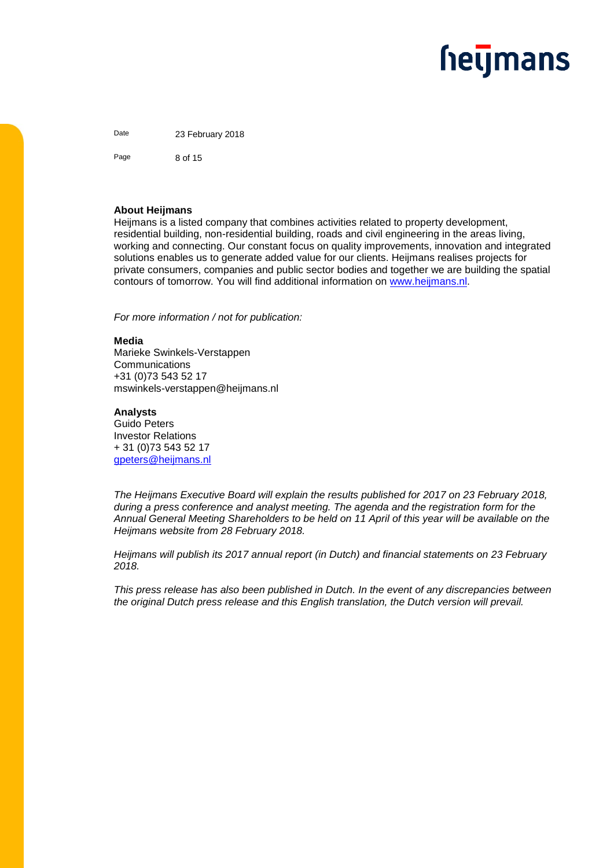Date 23 February 2018

Page 8 of 15

#### **About Heijmans**

Heijmans is a listed company that combines activities related to property development, residential building, non-residential building, roads and civil engineering in the areas living, working and connecting. Our constant focus on quality improvements, innovation and integrated solutions enables us to generate added value for our clients. Heijmans realises projects for private consumers, companies and public sector bodies and together we are building the spatial contours of tomorrow. You will find additional information on [www.heijmans.nl.](http://www.heijmans.nl/)

*For more information / not for publication:* 

#### **Media**

Marieke Swinkels-Verstappen **Communications** +31 (0)73 543 52 17 mswinkels-verstappen@heijmans.nl

#### **Analysts**

Guido Peters Investor Relations + 31 (0)73 543 52 17 [gpeters@heijmans.nl](mailto:gpeters@heijmans.nl)

*The Heijmans Executive Board will explain the results published for 2017 on 23 February 2018, during a press conference and analyst meeting. The agenda and the registration form for the Annual General Meeting Shareholders to be held on 11 April of this year will be available on the Heijmans website from 28 February 2018.* 

*Heijmans will publish its 2017 annual report (in Dutch) and financial statements on 23 February 2018.*

*This press release has also been published in Dutch. In the event of any discrepancies between the original Dutch press release and this English translation, the Dutch version will prevail.*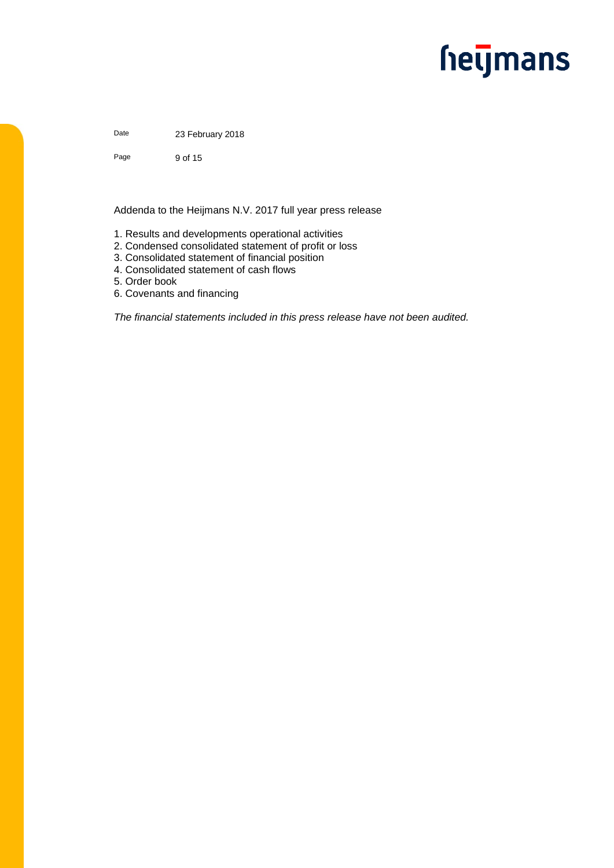### **hetjmans**

Date 23 February 2018

Page 9 of 15

Addenda to the Heijmans N.V. 2017 full year press release

- 1. Results and developments operational activities
- 2. Condensed consolidated statement of profit or loss
- 3. Consolidated statement of financial position
- 4. Consolidated statement of cash flows
- 5. Order book
- 6. Covenants and financing

*The financial statements included in this press release have not been audited.*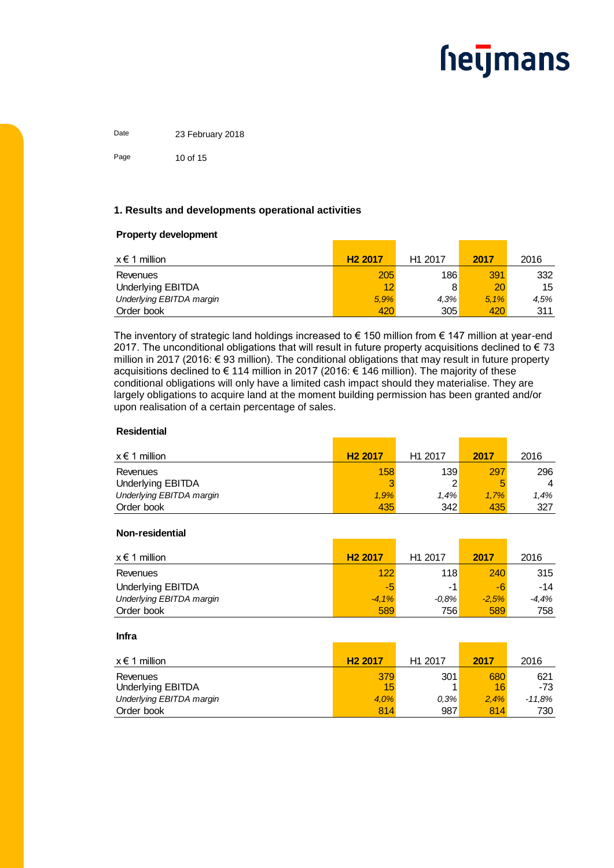Date 23 February 2018 Page 10 of 15

#### **1. Results and developments operational activities**

#### **Property development**

| $x \in 1$ million        | H <sub>2</sub> 2017 | H <sub>1</sub> 2017 | 2017 | 2016 |
|--------------------------|---------------------|---------------------|------|------|
| Revenues                 | 205                 | 186                 | 391  | 332  |
| Underlying EBITDA        | 12                  |                     | 20   | 15   |
| Underlying EBITDA margin | 5.9%                | 4.3%                | 5.1% | 4,5% |
| Order book               | 420                 | 305                 | 420  | 311  |

The inventory of strategic land holdings increased to € 150 million from € 147 million at year-end 2017. The unconditional obligations that will result in future property acquisitions declined to  $\epsilon$  73 million in 2017 (2016: € 93 million). The conditional obligations that may result in future property acquisitions declined to € 114 million in 2017 (2016: € 146 million). The majority of these conditional obligations will only have a limited cash impact should they materialise. They are largely obligations to acquire land at the moment building permission has been granted and/or upon realisation of a certain percentage of sales.

#### **Residential**

| $x \in 1$ million        | H <sub>2</sub> 2017 | H <sub>1</sub> 2017 | 2017 | 2016 |
|--------------------------|---------------------|---------------------|------|------|
| Revenues                 | 158                 | 139                 | 297  | 296  |
| <b>Underlying EBITDA</b> |                     |                     |      | 4    |
| Underlying EBITDA margin | 1.9%                | 1.4%                | 1.7% | 1.4% |
| Order book               | 435                 | 342                 | 435  | 327  |

#### **Non-residential**

| $x \in 1$ million        | H <sub>2</sub> 2017 | H <sub>1</sub> 2017 | 2017    | 2016  |
|--------------------------|---------------------|---------------------|---------|-------|
| Revenues                 | 122                 | 118                 | 240     | 315   |
| Underlying EBITDA        | -5                  | -1                  | -6      | -14   |
| Underlying EBITDA margin | $-4.1%$             | $-0.8%$             | $-2.5%$ | -4.4% |
| Order book               | 589                 | 756                 | 589     | 758   |

#### **Infra**

| $x \in 1$ million        | H <sub>2</sub> 2017 | H <sub>1</sub> 2017 | 2017 | 2016   |
|--------------------------|---------------------|---------------------|------|--------|
| Revenues                 | 379                 | 301                 | 680  | 621    |
| <b>Underlying EBITDA</b> | 15                  |                     | 16   | -73    |
| Underlying EBITDA margin | 4.0%                | $0.3\%$             | 2.4% | -11.8% |
| Order book               | 814                 | 987                 | 814  | 730    |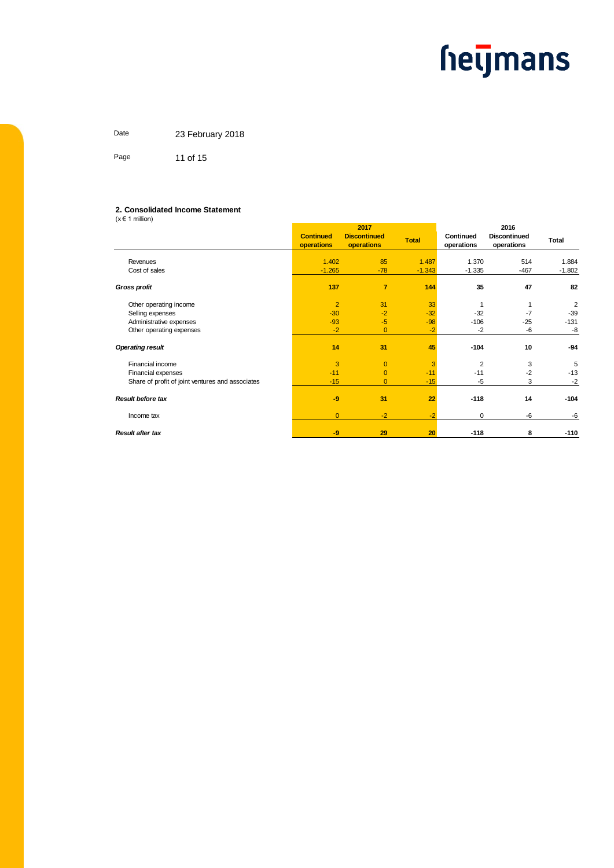Date 23 February 2018 Page 11 of 15

#### **2. Consolidated Income Statement**

 $(x \in 1$  million)

|                                                  | 2017                           |                                   |              | 2016                    |                                   |                |
|--------------------------------------------------|--------------------------------|-----------------------------------|--------------|-------------------------|-----------------------------------|----------------|
|                                                  | <b>Continued</b><br>operations | <b>Discontinued</b><br>operations | <b>Total</b> | Continued<br>operations | <b>Discontinued</b><br>operations | Total          |
| Revenues                                         | 1.402                          | 85                                | 1.487        | 1.370                   | 514                               | 1.884          |
|                                                  |                                |                                   |              |                         |                                   |                |
| Cost of sales                                    | $-1.265$                       | $-78$                             | $-1.343$     | $-1.335$                | $-467$                            | $-1.802$       |
| <b>Gross profit</b>                              | 137                            | $\overline{7}$                    | 144          | 35                      | 47                                | 82             |
| Other operating income                           | $\overline{2}$                 | 31                                | 33           |                         |                                   | $\overline{2}$ |
| Selling expenses                                 | $-30$                          | $-2$                              | $-32$        | $-32$                   | $-7$                              | $-39$          |
| Administrative expenses                          | $-93$                          | $-5$                              | $-98$        | $-106$                  | $-25$                             | $-131$         |
| Other operating expenses                         | $-2$                           | $\overline{0}$                    | $-2$         | $-2$                    | -6                                | -8             |
|                                                  |                                |                                   |              |                         |                                   |                |
| <b>Operating result</b>                          | 14                             | 31                                | 45           | $-104$                  | 10                                | -94            |
| Financial income                                 | 3                              | $\overline{0}$                    | 3            | $\overline{2}$          | 3                                 | 5              |
| Financial expenses                               | $-11$                          | $\Omega$                          | $-11$        | $-11$                   | $-2$                              | $-13$          |
| Share of profit of joint ventures and associates | $-15$                          | $\overline{0}$                    | $-15$        | $-5$                    | 3                                 | $-2$           |
|                                                  |                                |                                   |              |                         |                                   |                |
| <b>Result before tax</b>                         | $-9$                           | 31                                | 22           | $-118$                  | 14                                | $-104$         |
| Income tax                                       | $\overline{0}$                 | $-2$                              | $-2$         | 0                       | -6                                | $-6$           |
| <b>Result after tax</b>                          | $-9$                           | 29                                | 20           | $-118$                  | 8                                 | $-110$         |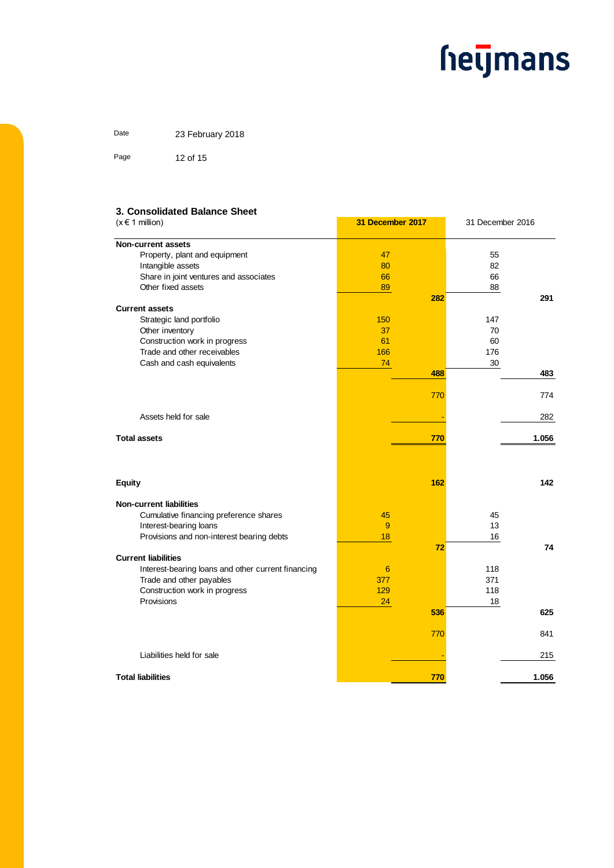**31 December 2017** 31 December 2016

Date 23 February 2018 Page 12 of 15

#### **3. Consolidated Balance Sheet**

 $(x \in 1$  million)

| <b>Non-current assets</b>                          |     |     |     |       |
|----------------------------------------------------|-----|-----|-----|-------|
| Property, plant and equipment                      | 47  |     | 55  |       |
| Intangible assets                                  | 80  |     | 82  |       |
| Share in joint ventures and associates             | 66  |     | 66  |       |
| Other fixed assets                                 | 89  |     | 88  |       |
|                                                    |     | 282 |     | 291   |
| <b>Current assets</b>                              |     |     |     |       |
| Strategic land portfolio                           | 150 |     | 147 |       |
| Other inventory                                    | 37  |     | 70  |       |
| Construction work in progress                      | 61  |     | 60  |       |
| Trade and other receivables                        | 166 |     | 176 |       |
| Cash and cash equivalents                          | 74  |     | 30  |       |
|                                                    |     | 488 |     | 483   |
|                                                    |     |     |     |       |
|                                                    |     | 770 |     | 774   |
|                                                    |     |     |     |       |
| Assets held for sale                               |     |     |     | 282   |
|                                                    |     |     |     |       |
| <b>Total assets</b>                                |     | 770 |     | 1.056 |
|                                                    |     |     |     |       |
| <b>Equity</b>                                      |     | 162 |     | 142   |
|                                                    |     |     |     |       |
| <b>Non-current liabilities</b>                     |     |     |     |       |
| Cumulative financing preference shares             | 45  |     | 45  |       |
| Interest-bearing loans                             | 9   |     | 13  |       |
| Provisions and non-interest bearing debts          | 18  |     | 16  |       |
|                                                    |     | 72  |     | 74    |
| <b>Current liabilities</b>                         |     |     |     |       |
| Interest-bearing loans and other current financing | 6   |     | 118 |       |
| Trade and other payables                           | 377 |     | 371 |       |
| Construction work in progress                      | 129 |     | 118 |       |
| Provisions                                         | 24  |     | 18  |       |
|                                                    |     | 536 |     | 625   |
|                                                    |     |     |     |       |
|                                                    |     | 770 |     | 841   |
|                                                    |     |     |     |       |
| Liabilities held for sale                          |     |     |     | 215   |
|                                                    |     |     |     |       |
| <b>Total liabilities</b>                           |     | 770 |     | 1.056 |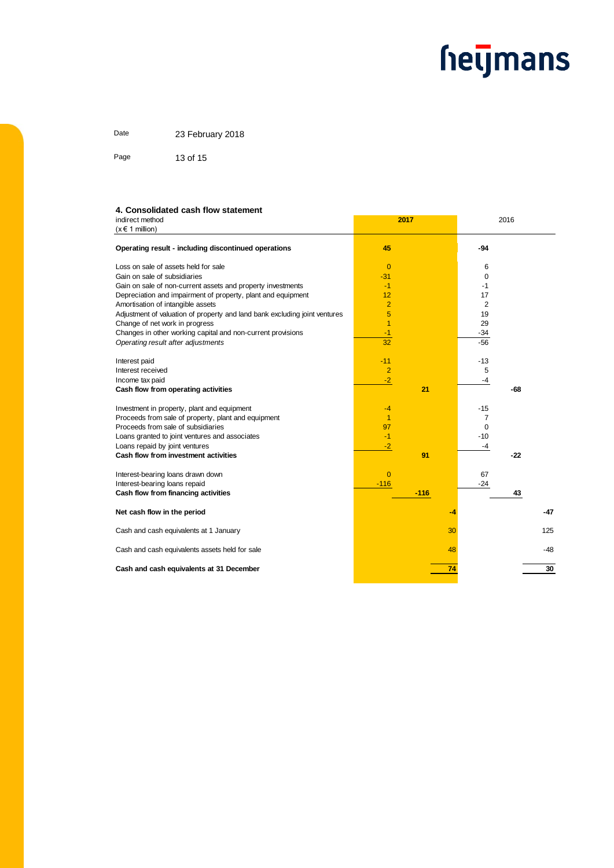Date 23 February 2018

Page 13 of 15

#### indirect method **4. Consolidated cash flow statement**

| indirect method<br>$(x \in 1$ million)                                     | 2017           |    |                | 2016  |     |
|----------------------------------------------------------------------------|----------------|----|----------------|-------|-----|
| Operating result - including discontinued operations                       | 45             |    | $-94$          |       |     |
| Loss on sale of assets held for sale                                       | $\overline{0}$ |    | 6              |       |     |
| Gain on sale of subsidiaries                                               | $-31$          |    | 0              |       |     |
| Gain on sale of non-current assets and property investments                | $-1$           |    | -1             |       |     |
| Depreciation and impairment of property, plant and equipment               | 12             |    | 17             |       |     |
| Amortisation of intangible assets                                          | $\overline{2}$ |    | 2              |       |     |
| Adjustment of valuation of property and land bank excluding joint ventures | 5              |    | 19             |       |     |
| Change of net work in progress                                             | 1              |    | 29             |       |     |
| Changes in other working capital and non-current provisions                | $-1$           |    | $-34$          |       |     |
| Operating result after adjustments                                         | 32             |    | $-56$          |       |     |
|                                                                            |                |    |                |       |     |
| Interest paid                                                              | $-11$          |    | $-13$          |       |     |
| Interest received                                                          | $\overline{2}$ |    | 5              |       |     |
| Income tax paid                                                            | $-2$           |    | $-4$           |       |     |
| Cash flow from operating activities                                        |                | 21 |                | -68   |     |
| Investment in property, plant and equipment                                | $-4$           |    | $-15$          |       |     |
| Proceeds from sale of property, plant and equipment                        | $\overline{1}$ |    | $\overline{7}$ |       |     |
| Proceeds from sale of subsidiaries                                         | 97             |    | 0              |       |     |
| Loans granted to joint ventures and associates                             | $-1$           |    | $-10$          |       |     |
| Loans repaid by joint ventures                                             | $-2$           |    | -4             |       |     |
| Cash flow from investment activities                                       |                | 91 |                | $-22$ |     |
|                                                                            |                |    |                |       |     |
| Interest-bearing loans drawn down                                          | $\overline{0}$ |    | 67             |       |     |
| Interest-bearing loans repaid                                              | $-116$         |    | $-24$          |       |     |
| Cash flow from financing activities                                        | $-116$         |    |                | 43    |     |
| Net cash flow in the period                                                |                | -4 |                |       | -47 |
| Cash and cash equivalents at 1 January                                     |                | 30 |                |       | 125 |
| Cash and cash equivalents assets held for sale                             |                | 48 |                |       | -48 |
| Cash and cash equivalents at 31 December                                   |                | 74 |                |       | 30  |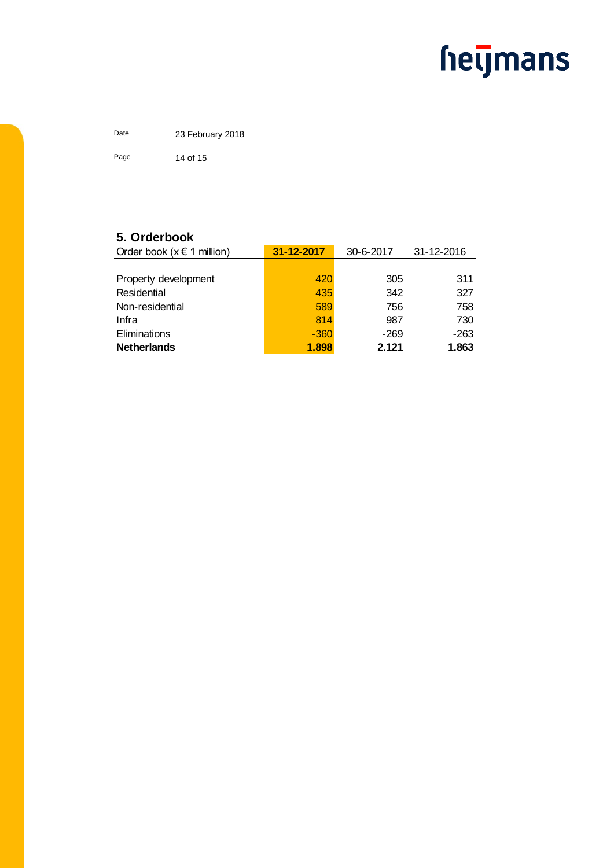Date 23 February 2018 Page 14 of 15

#### **5. Orderbook**

| Order book ( $x \in 1$ million) | 31-12-2017 | 30-6-2017 | 31-12-2016 |
|---------------------------------|------------|-----------|------------|
|                                 |            |           |            |
| Property development            | 420        | 305       | 311        |
| Residential                     | 435        | 342       | 327        |
| Non-residential                 | 589        | 756       | 758        |
| Infra                           | 814        | 987       | 730        |
| Eliminations                    | $-360$     | $-269$    | $-263$     |
| <b>Netherlands</b>              | 1.898      | 2.121     | 1.863      |